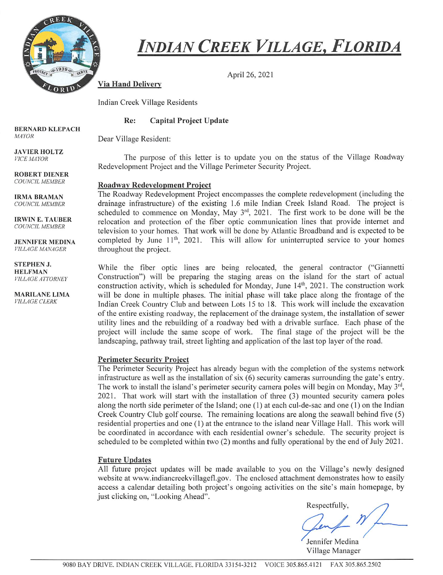

# INDIAN CREEK VILLAGE, FLORIDA

April 26, 2021

Via Hand Delivery

Indian Creek Village Residents

### Re: Capital Project Update

Dear Village Resident:

The purpose of this letter is to update you on the status of the Village Roadway Redevelopment Project and the Village Perimeter Security Project.

#### Roadway Redevelopment Project

The Roadway Redevelopment Project encompasses the complete redevelopment (including the drainage infrastructure) of the existing 1.6 mile Indian Creek Island Road. The project is scheduled to commence on Monday, May 3<sup>rd</sup>, 2021. The first work to be done will be the relocation and protection of the fiber optic communication lines that provide internet and television to your homes. That work will be done by Atlantic Broadband and is expected to be completed by June 11<sup>th</sup>, 2021. This will allow for uninterrupted service to your homes throughout the project.

While the fiber optic lines are being relocated, the general contractor ("Giannetti Construction") will be preparing the staging areas on the island for the start of actual construction activity, which is scheduled for Monday, June 14<sup>th</sup>, 2021. The construction work will be done in multiple phases. The initial phase will take place along the frontage of the Indian Creek Country Club and between Lots 15 to 18. This work will include the excavation of the entire existing roadway, the replacement of the drainage system, the installation of sewer utility lines and the rebuilding of a roadway bed with a drivable surface. Each phase of the project will include the same scope of work. The final stage of the project will be the landscaping, pathway trail, street lighting and application of the last top layer of the road.

#### Perimeter Security Project

The Perimeter Security Project has already begun with the completion of the systems network infrastructure as well as the installation of six (6) security cameras surrounding the gate's entry. The work to install the island's perimeter security camera poles will begin on Monday, May  $3<sup>rd</sup>$ , 2021. That work will start with the installation of three (3) mounted security camera poles along the north side perimeter of the Island; one (1) at each cul-de-sac and one (1) on the Indian Creek Country Club golf course. The remaining locations are along the seawall behind five (5) residential properties and one (1) at the entrance to the island near Village Hall. This work will be coordinated in accordance with each residential owner's schedule. The security project is scheduled to be completed within two (2) months and fully operational by the end of July 2021.

## Future Updates

All future project updates will be made available to you on the Village's newly designed website at www.indiancreekvillagefl.gov. The enclosed attachment demonstrates how to easily access a calendar detailing both project's ongoing activities on the site's main homepage, by just clicking on, "Looking Ahead".

Respectfully,

Jennifer Medina Village Manager

BERNARD KLEPACH MAYOR

JAVIER HOLTZ VICE MAYOR

ROBERT DIENER COUNCIL MEMBER

IRMA BRAMAN COUNCIL MEMBER

IRWIN E. TAUBER COUNCIL MEMBER

JENNIFER MEDINA VILLAGE MANAGER

STEPHEN J. HELFMAN VILLAGE ATTORNEY

MARILANE LIMA VILLAGE CLERK